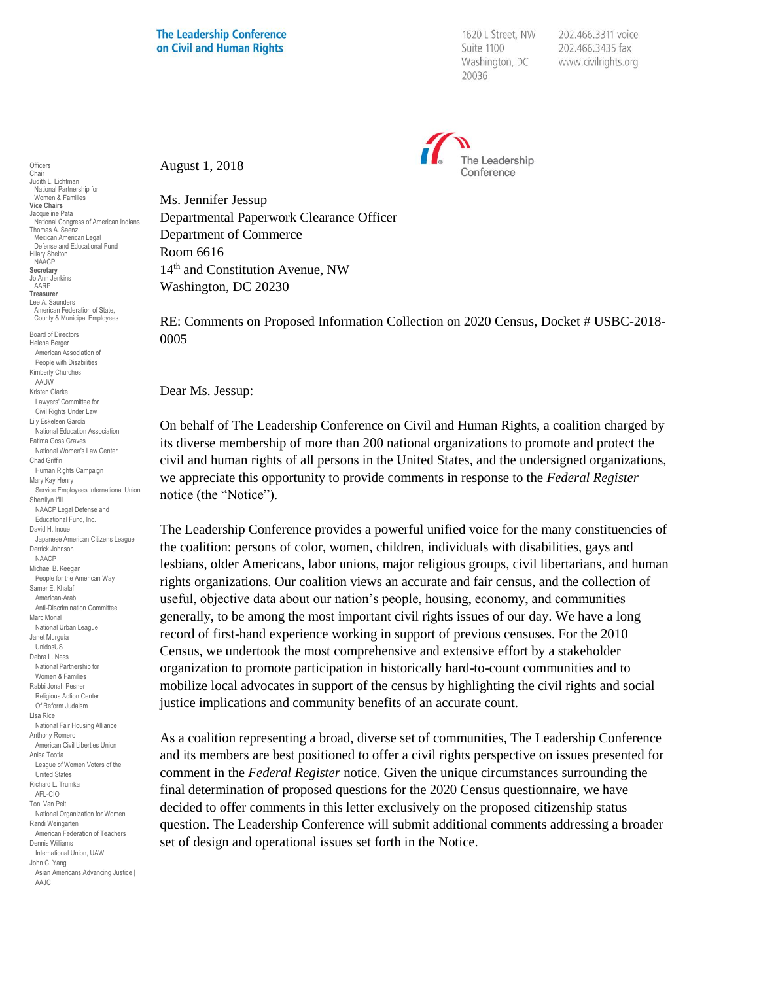1620 L Street, NW Suite 1100 Washington, DC 20036

202.466.3311 voice 202.466.3435 fax www.civilrights.org



August 1, 2018

Ms. Jennifer Jessup Departmental Paperwork Clearance Officer Department of Commerce Room 6616 14th and Constitution Avenue, NW Washington, DC 20230

RE: Comments on Proposed Information Collection on 2020 Census, Docket # USBC-2018- 0005

Dear Ms. Jessup:

On behalf of The Leadership Conference on Civil and Human Rights, a coalition charged by its diverse membership of more than 200 national organizations to promote and protect the civil and human rights of all persons in the United States, and the undersigned organizations, we appreciate this opportunity to provide comments in response to the *Federal Register*  notice (the "Notice").

The Leadership Conference provides a powerful unified voice for the many constituencies of the coalition: persons of color, women, children, individuals with disabilities, gays and lesbians, older Americans, labor unions, major religious groups, civil libertarians, and human rights organizations. Our coalition views an accurate and fair census, and the collection of useful, objective data about our nation's people, housing, economy, and communities generally, to be among the most important civil rights issues of our day. We have a long record of first-hand experience working in support of previous censuses. For the 2010 Census, we undertook the most comprehensive and extensive effort by a stakeholder organization to promote participation in historically hard-to-count communities and to mobilize local advocates in support of the census by highlighting the civil rights and social justice implications and community benefits of an accurate count.

As a coalition representing a broad, diverse set of communities, The Leadership Conference and its members are best positioned to offer a civil rights perspective on issues presented for comment in the *Federal Register* notice. Given the unique circumstances surrounding the final determination of proposed questions for the 2020 Census questionnaire, we have decided to offer comments in this letter exclusively on the proposed citizenship status question. The Leadership Conference will submit additional comments addressing a broader set of design and operational issues set forth in the Notice.

**Officers** Chair Judith L. Lichtman National Partnership for Women & Families **Vice Chairs** Jacqueline Pata National Congress of American Indians Thomas A. Saenz Mexican American Legal Defense and Educational Fund Hilary Shelton NAACP **Secretary** Jo Ann Jenkins AARP **Treasurer** Lee A. Saunders American Federation of State, County & Municipal Employees Board of Directors Helena Berger American Association of People with Disabilities Kimberly Churches AAUW Kristen Clarke Lawyers' Committee for Civil Rights Under Law Lily Eskelsen García National Education Association Fatima Goss Graves National Women's Law Center Chad Griffin Human Rights Campaign Mary Kay Henry Service Employees International Union Sherrilyn Ifill NAACP Legal Defense and Educational Fund, Inc. David H. Inoue Japanese American Citizens League Derrick Johnson NAACP Michael B. Keegan People for the American Way Samer E. Khalaf American-Arab Anti-Discrimination Committee Marc Morial National Urban League Janet Murguía UnidosUS Debra L. Ness National Partnership for Women & Families Rabbi Jonah Pesner Religious Action Center Of Reform Judaism Lisa Rice National Fair Housing Alliance Anthony Romero American Civil Liberties Union Anisa Tootla League of Women Voters of the United States Richard L. Trumka AFL-CIO Toni Van Pelt National Organization for Women Randi Weingarten American Federation of Teachers Dennis Williams International Union, UAW John C. Yang Asian Americans Advancing Justice | AAJC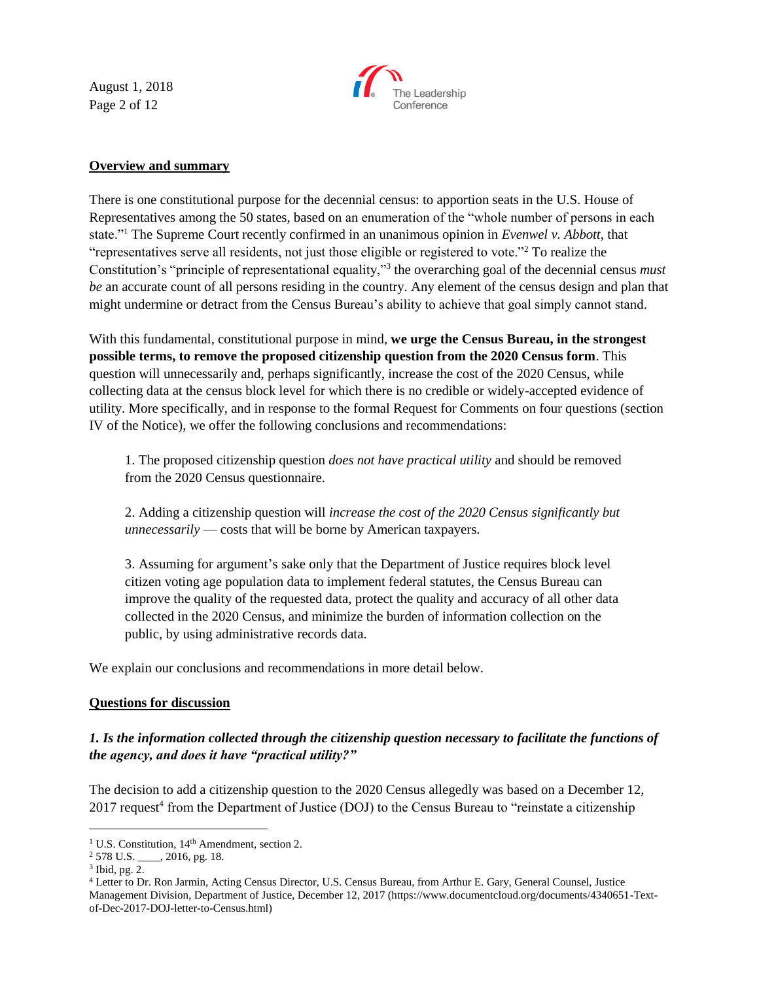August 1, 2018 Page 2 of 12



### **Overview and summary**

There is one constitutional purpose for the decennial census: to apportion seats in the U.S. House of Representatives among the 50 states, based on an enumeration of the "whole number of persons in each state."<sup>1</sup> The Supreme Court recently confirmed in an unanimous opinion in *Evenwel v. Abbott*, that "representatives serve all residents, not just those eligible or registered to vote."<sup>2</sup> To realize the Constitution's "principle of representational equality,"<sup>3</sup> the overarching goal of the decennial census *must be* an accurate count of all persons residing in the country. Any element of the census design and plan that might undermine or detract from the Census Bureau's ability to achieve that goal simply cannot stand.

With this fundamental, constitutional purpose in mind, **we urge the Census Bureau, in the strongest possible terms, to remove the proposed citizenship question from the 2020 Census form**. This question will unnecessarily and, perhaps significantly, increase the cost of the 2020 Census, while collecting data at the census block level for which there is no credible or widely-accepted evidence of utility. More specifically, and in response to the formal Request for Comments on four questions (section IV of the Notice), we offer the following conclusions and recommendations:

1. The proposed citizenship question *does not have practical utility* and should be removed from the 2020 Census questionnaire.

2. Adding a citizenship question will *increase the cost of the 2020 Census significantly but unnecessarily* — costs that will be borne by American taxpayers.

3. Assuming for argument's sake only that the Department of Justice requires block level citizen voting age population data to implement federal statutes, the Census Bureau can improve the quality of the requested data, protect the quality and accuracy of all other data collected in the 2020 Census, and minimize the burden of information collection on the public, by using administrative records data.

We explain our conclusions and recommendations in more detail below.

### **Questions for discussion**

# *1. Is the information collected through the citizenship question necessary to facilitate the functions of the agency, and does it have "practical utility?"*

The decision to add a citizenship question to the 2020 Census allegedly was based on a December 12, 2017 request<sup>4</sup> from the Department of Justice (DOJ) to the Census Bureau to "reinstate a citizenship

<sup>&</sup>lt;sup>1</sup> U.S. Constitution, 14<sup>th</sup> Amendment, section 2.

<sup>&</sup>lt;sup>2</sup> 578 U.S. \_\_\_\_, 2016, pg. 18.

 $3$  Ibid, pg. 2.

<sup>4</sup> Letter to Dr. Ron Jarmin, Acting Census Director, U.S. Census Bureau, from Arthur E. Gary, General Counsel, Justice Management Division, Department of Justice, December 12, 2017 (https://www.documentcloud.org/documents/4340651-Textof-Dec-2017-DOJ-letter-to-Census.html)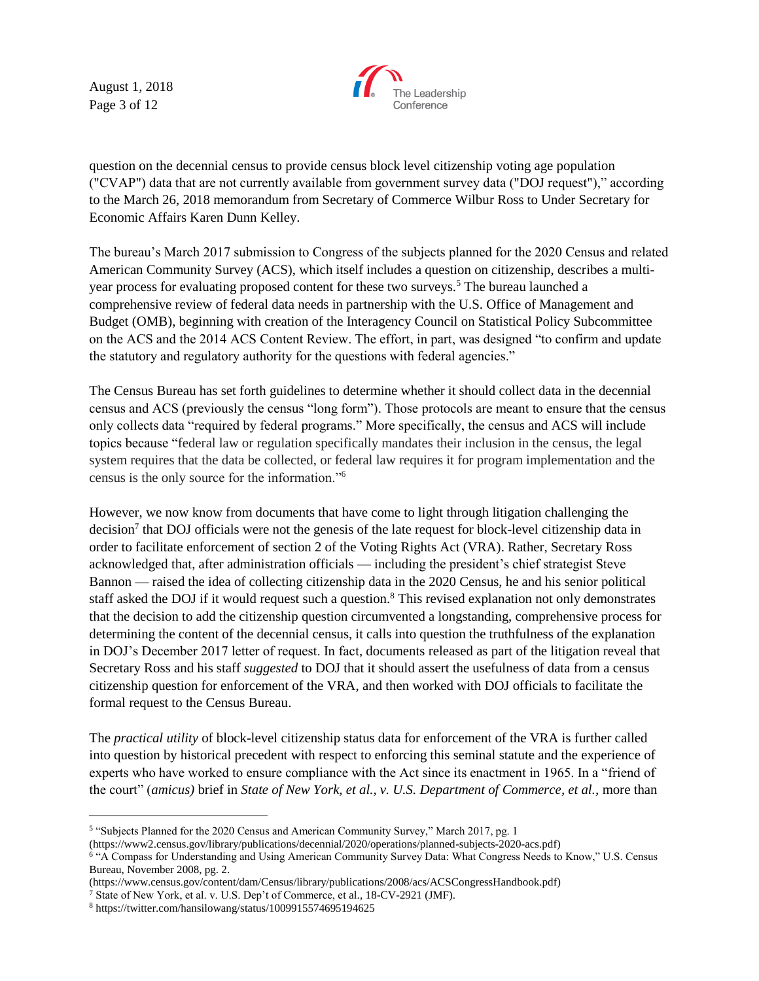August 1, 2018 Page 3 of 12



question on the decennial census to provide census block level citizenship voting age population ("CVAP") data that are not currently available from government survey data ("DOJ request")," according to the March 26, 2018 memorandum from Secretary of Commerce Wilbur Ross to Under Secretary for Economic Affairs Karen Dunn Kelley.

The bureau's March 2017 submission to Congress of the subjects planned for the 2020 Census and related American Community Survey (ACS), which itself includes a question on citizenship, describes a multiyear process for evaluating proposed content for these two surveys.<sup>5</sup> The bureau launched a comprehensive review of federal data needs in partnership with the U.S. Office of Management and Budget (OMB), beginning with creation of the Interagency Council on Statistical Policy Subcommittee on the ACS and the 2014 ACS Content Review. The effort, in part, was designed "to confirm and update the statutory and regulatory authority for the questions with federal agencies."

The Census Bureau has set forth guidelines to determine whether it should collect data in the decennial census and ACS (previously the census "long form"). Those protocols are meant to ensure that the census only collects data "required by federal programs." More specifically, the census and ACS will include topics because "federal law or regulation specifically mandates their inclusion in the census, the legal system requires that the data be collected, or federal law requires it for program implementation and the census is the only source for the information."<sup>6</sup>

However, we now know from documents that have come to light through litigation challenging the decision<sup>7</sup> that DOJ officials were not the genesis of the late request for block-level citizenship data in order to facilitate enforcement of section 2 of the Voting Rights Act (VRA). Rather, Secretary Ross acknowledged that, after administration officials — including the president's chief strategist Steve Bannon — raised the idea of collecting citizenship data in the 2020 Census, he and his senior political staff asked the DOJ if it would request such a question.<sup>8</sup> This revised explanation not only demonstrates that the decision to add the citizenship question circumvented a longstanding, comprehensive process for determining the content of the decennial census, it calls into question the truthfulness of the explanation in DOJ's December 2017 letter of request. In fact, documents released as part of the litigation reveal that Secretary Ross and his staff *suggested* to DOJ that it should assert the usefulness of data from a census citizenship question for enforcement of the VRA, and then worked with DOJ officials to facilitate the formal request to the Census Bureau.

The *practical utility* of block-level citizenship status data for enforcement of the VRA is further called into question by historical precedent with respect to enforcing this seminal statute and the experience of experts who have worked to ensure compliance with the Act since its enactment in 1965. In a "friend of the court" (*amicus)* brief in *State of New York, et al., v. U.S. Department of Commerce, et al.,* more than

 $\overline{a}$ 

<sup>&</sup>lt;sup>5</sup> "Subjects Planned for the 2020 Census and American Community Survey," March 2017, pg. 1

<sup>(</sup>https://www2.census.gov/library/publications/decennial/2020/operations/planned-subjects-2020-acs.pdf)

<sup>6</sup> "A Compass for Understanding and Using American Community Survey Data: What Congress Needs to Know," U.S. Census Bureau, November 2008, pg. 2.

<sup>(</sup>https://www.census.gov/content/dam/Census/library/publications/2008/acs/ACSCongressHandbook.pdf)

<sup>7</sup> State of New York, et al. v. U.S. Dep't of Commerce, et al., 18-CV-2921 (JMF).

<sup>8</sup> https://twitter.com/hansilowang/status/1009915574695194625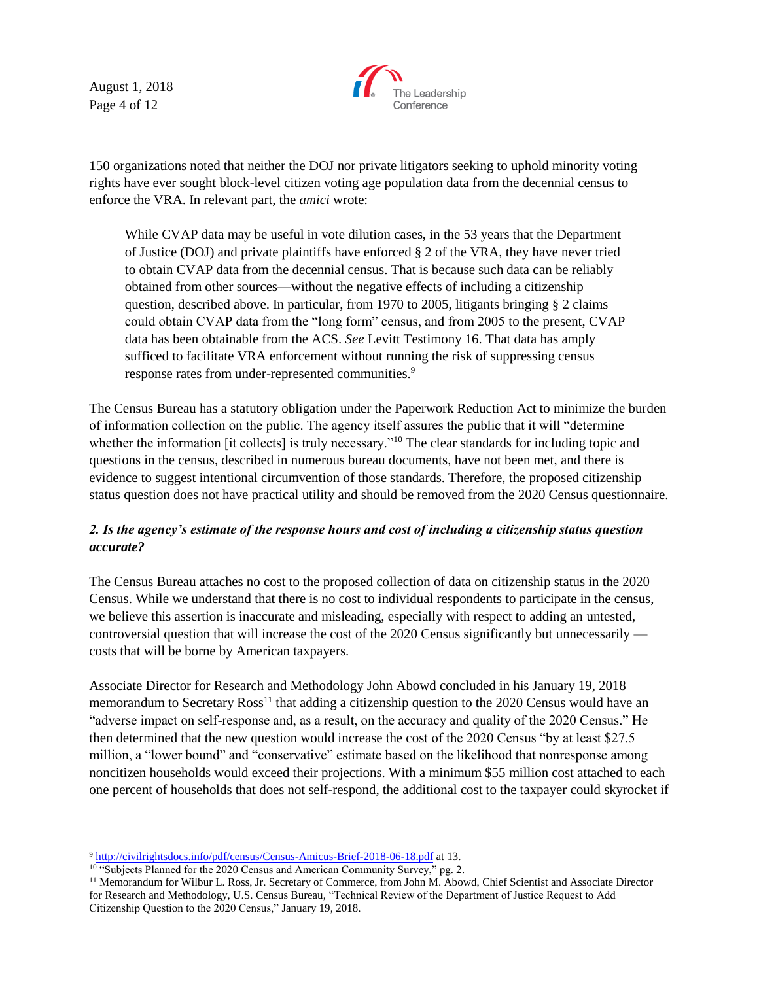August 1, 2018 Page 4 of 12



150 organizations noted that neither the DOJ nor private litigators seeking to uphold minority voting rights have ever sought block-level citizen voting age population data from the decennial census to enforce the VRA. In relevant part, the *amici* wrote:

While CVAP data may be useful in vote dilution cases, in the 53 years that the Department of Justice (DOJ) and private plaintiffs have enforced § 2 of the VRA, they have never tried to obtain CVAP data from the decennial census. That is because such data can be reliably obtained from other sources—without the negative effects of including a citizenship question, described above. In particular, from 1970 to 2005, litigants bringing § 2 claims could obtain CVAP data from the "long form" census, and from 2005 to the present, CVAP data has been obtainable from the ACS. *See* Levitt Testimony 16. That data has amply sufficed to facilitate VRA enforcement without running the risk of suppressing census response rates from under-represented communities.<sup>9</sup>

The Census Bureau has a statutory obligation under the Paperwork Reduction Act to minimize the burden of information collection on the public. The agency itself assures the public that it will "determine whether the information [it collects] is truly necessary."<sup>10</sup> The clear standards for including topic and questions in the census, described in numerous bureau documents, have not been met, and there is evidence to suggest intentional circumvention of those standards. Therefore, the proposed citizenship status question does not have practical utility and should be removed from the 2020 Census questionnaire.

# *2. Is the agency's estimate of the response hours and cost of including a citizenship status question accurate?*

The Census Bureau attaches no cost to the proposed collection of data on citizenship status in the 2020 Census. While we understand that there is no cost to individual respondents to participate in the census, we believe this assertion is inaccurate and misleading, especially with respect to adding an untested, controversial question that will increase the cost of the 2020 Census significantly but unnecessarily costs that will be borne by American taxpayers.

Associate Director for Research and Methodology John Abowd concluded in his January 19, 2018 memorandum to Secretary  $Ross^{11}$  that adding a citizenship question to the 2020 Census would have an "adverse impact on self-response and, as a result, on the accuracy and quality of the 2020 Census." He then determined that the new question would increase the cost of the 2020 Census "by at least \$27.5 million, a "lower bound" and "conservative" estimate based on the likelihood that nonresponse among noncitizen households would exceed their projections. With a minimum \$55 million cost attached to each one percent of households that does not self-respond, the additional cost to the taxpayer could skyrocket if

<sup>9</sup> <http://civilrightsdocs.info/pdf/census/Census-Amicus-Brief-2018-06-18.pdf> at 13.

<sup>&</sup>lt;sup>10</sup> "Subjects Planned for the 2020 Census and American Community Survey," pg. 2.

<sup>&</sup>lt;sup>11</sup> Memorandum for Wilbur L. Ross, Jr. Secretary of Commerce, from John M. Abowd, Chief Scientist and Associate Director for Research and Methodology, U.S. Census Bureau, "Technical Review of the Department of Justice Request to Add Citizenship Question to the 2020 Census," January 19, 2018.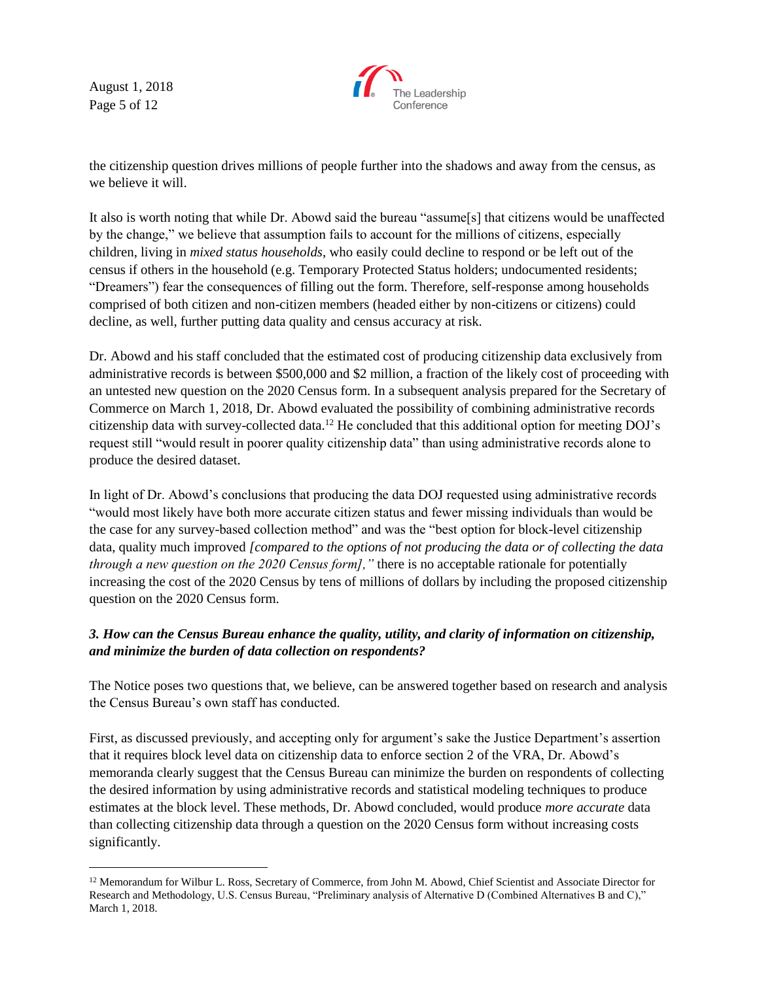August 1, 2018 Page 5 of 12



the citizenship question drives millions of people further into the shadows and away from the census, as we believe it will.

It also is worth noting that while Dr. Abowd said the bureau "assume[s] that citizens would be unaffected by the change," we believe that assumption fails to account for the millions of citizens, especially children, living in *mixed status households*, who easily could decline to respond or be left out of the census if others in the household (e.g. Temporary Protected Status holders; undocumented residents; "Dreamers") fear the consequences of filling out the form. Therefore, self-response among households comprised of both citizen and non-citizen members (headed either by non-citizens or citizens) could decline, as well, further putting data quality and census accuracy at risk.

Dr. Abowd and his staff concluded that the estimated cost of producing citizenship data exclusively from administrative records is between \$500,000 and \$2 million, a fraction of the likely cost of proceeding with an untested new question on the 2020 Census form. In a subsequent analysis prepared for the Secretary of Commerce on March 1, 2018, Dr. Abowd evaluated the possibility of combining administrative records citizenship data with survey-collected data.<sup>12</sup> He concluded that this additional option for meeting DOJ's request still "would result in poorer quality citizenship data" than using administrative records alone to produce the desired dataset.

In light of Dr. Abowd's conclusions that producing the data DOJ requested using administrative records "would most likely have both more accurate citizen status and fewer missing individuals than would be the case for any survey-based collection method" and was the "best option for block-level citizenship data, quality much improved *[compared to the options of not producing the data or of collecting the data through a new question on the 2020 Census form],"* there is no acceptable rationale for potentially increasing the cost of the 2020 Census by tens of millions of dollars by including the proposed citizenship question on the 2020 Census form.

## *3. How can the Census Bureau enhance the quality, utility, and clarity of information on citizenship, and minimize the burden of data collection on respondents?*

The Notice poses two questions that, we believe, can be answered together based on research and analysis the Census Bureau's own staff has conducted.

First, as discussed previously, and accepting only for argument's sake the Justice Department's assertion that it requires block level data on citizenship data to enforce section 2 of the VRA, Dr. Abowd's memoranda clearly suggest that the Census Bureau can minimize the burden on respondents of collecting the desired information by using administrative records and statistical modeling techniques to produce estimates at the block level. These methods, Dr. Abowd concluded, would produce *more accurate* data than collecting citizenship data through a question on the 2020 Census form without increasing costs significantly.

<sup>&</sup>lt;sup>12</sup> Memorandum for Wilbur L. Ross, Secretary of Commerce, from John M. Abowd, Chief Scientist and Associate Director for Research and Methodology, U.S. Census Bureau, "Preliminary analysis of Alternative D (Combined Alternatives B and C)," March 1, 2018.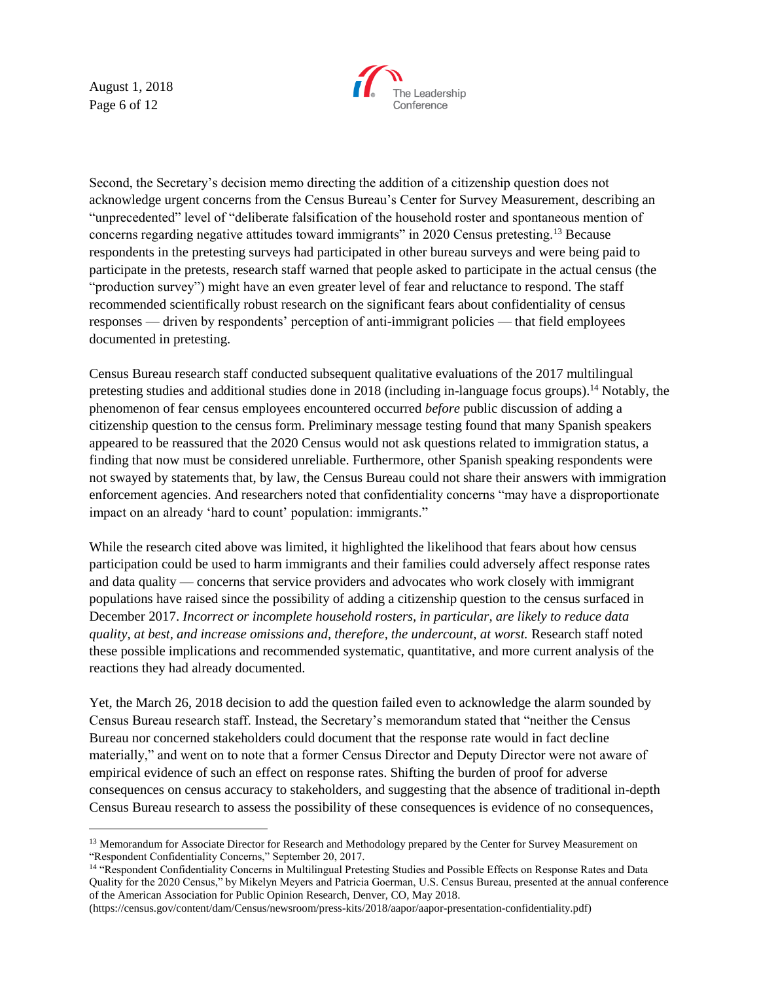August 1, 2018 Page 6 of 12



Second, the Secretary's decision memo directing the addition of a citizenship question does not acknowledge urgent concerns from the Census Bureau's Center for Survey Measurement, describing an "unprecedented" level of "deliberate falsification of the household roster and spontaneous mention of concerns regarding negative attitudes toward immigrants" in 2020 Census pretesting.<sup>13</sup> Because respondents in the pretesting surveys had participated in other bureau surveys and were being paid to participate in the pretests, research staff warned that people asked to participate in the actual census (the "production survey") might have an even greater level of fear and reluctance to respond. The staff recommended scientifically robust research on the significant fears about confidentiality of census responses — driven by respondents' perception of anti-immigrant policies — that field employees documented in pretesting.

Census Bureau research staff conducted subsequent qualitative evaluations of the 2017 multilingual pretesting studies and additional studies done in 2018 (including in-language focus groups).<sup>14</sup> Notably, the phenomenon of fear census employees encountered occurred *before* public discussion of adding a citizenship question to the census form. Preliminary message testing found that many Spanish speakers appeared to be reassured that the 2020 Census would not ask questions related to immigration status, a finding that now must be considered unreliable. Furthermore, other Spanish speaking respondents were not swayed by statements that, by law, the Census Bureau could not share their answers with immigration enforcement agencies. And researchers noted that confidentiality concerns "may have a disproportionate impact on an already 'hard to count' population: immigrants."

While the research cited above was limited, it highlighted the likelihood that fears about how census participation could be used to harm immigrants and their families could adversely affect response rates and data quality — concerns that service providers and advocates who work closely with immigrant populations have raised since the possibility of adding a citizenship question to the census surfaced in December 2017. *Incorrect or incomplete household rosters, in particular, are likely to reduce data quality, at best, and increase omissions and, therefore, the undercount, at worst.* Research staff noted these possible implications and recommended systematic, quantitative, and more current analysis of the reactions they had already documented.

Yet, the March 26, 2018 decision to add the question failed even to acknowledge the alarm sounded by Census Bureau research staff. Instead, the Secretary's memorandum stated that "neither the Census Bureau nor concerned stakeholders could document that the response rate would in fact decline materially," and went on to note that a former Census Director and Deputy Director were not aware of empirical evidence of such an effect on response rates. Shifting the burden of proof for adverse consequences on census accuracy to stakeholders, and suggesting that the absence of traditional in-depth Census Bureau research to assess the possibility of these consequences is evidence of no consequences,

<sup>&</sup>lt;sup>13</sup> Memorandum for Associate Director for Research and Methodology prepared by the Center for Survey Measurement on "Respondent Confidentiality Concerns," September 20, 2017.

<sup>14</sup> "Respondent Confidentiality Concerns in Multilingual Pretesting Studies and Possible Effects on Response Rates and Data Quality for the 2020 Census," by Mikelyn Meyers and Patricia Goerman, U.S. Census Bureau, presented at the annual conference of the American Association for Public Opinion Research, Denver, CO, May 2018.

<sup>(</sup>https://census.gov/content/dam/Census/newsroom/press-kits/2018/aapor/aapor-presentation-confidentiality.pdf)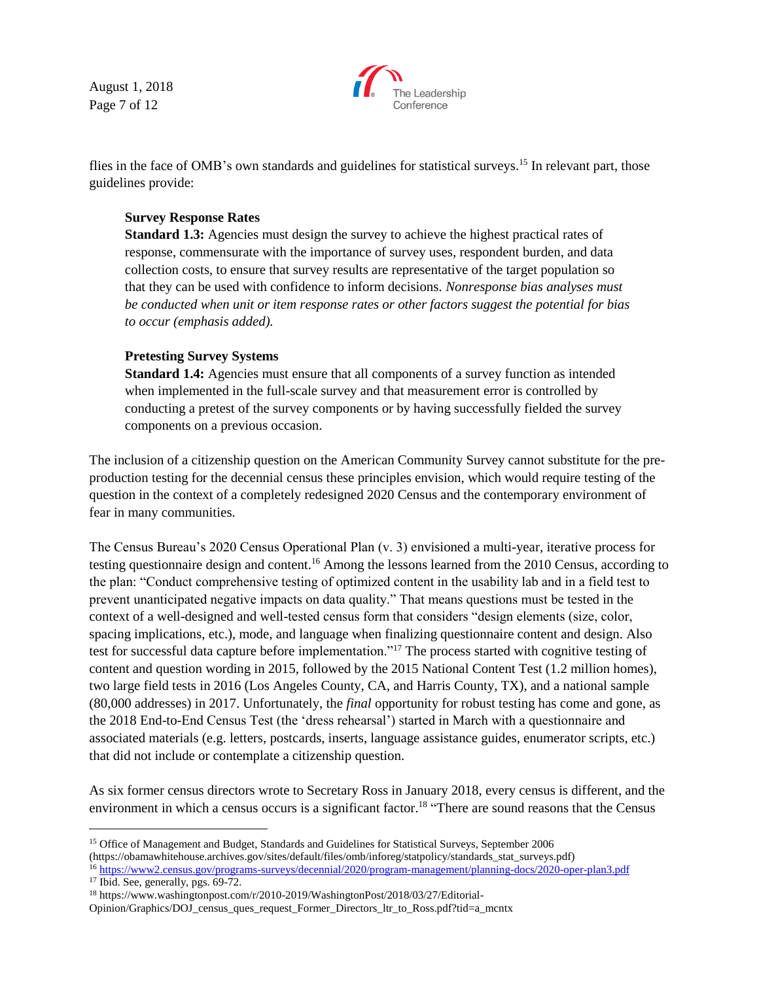August 1, 2018 Page 7 of 12



flies in the face of OMB's own standards and guidelines for statistical surveys.<sup>15</sup> In relevant part, those guidelines provide:

## **Survey Response Rates**

**Standard 1.3:** Agencies must design the survey to achieve the highest practical rates of response, commensurate with the importance of survey uses, respondent burden, and data collection costs, to ensure that survey results are representative of the target population so that they can be used with confidence to inform decisions. *Nonresponse bias analyses must be conducted when unit or item response rates or other factors suggest the potential for bias to occur (emphasis added).*

## **Pretesting Survey Systems**

**Standard 1.4:** Agencies must ensure that all components of a survey function as intended when implemented in the full-scale survey and that measurement error is controlled by conducting a pretest of the survey components or by having successfully fielded the survey components on a previous occasion.

The inclusion of a citizenship question on the American Community Survey cannot substitute for the preproduction testing for the decennial census these principles envision, which would require testing of the question in the context of a completely redesigned 2020 Census and the contemporary environment of fear in many communities.

The Census Bureau's 2020 Census Operational Plan (v. 3) envisioned a multi-year, iterative process for testing questionnaire design and content.<sup>16</sup> Among the lessons learned from the 2010 Census, according to the plan: "Conduct comprehensive testing of optimized content in the usability lab and in a field test to prevent unanticipated negative impacts on data quality." That means questions must be tested in the context of a well-designed and well-tested census form that considers "design elements (size, color, spacing implications, etc.), mode, and language when finalizing questionnaire content and design. Also test for successful data capture before implementation."<sup>17</sup> The process started with cognitive testing of content and question wording in 2015, followed by the 2015 National Content Test (1.2 million homes), two large field tests in 2016 (Los Angeles County, CA, and Harris County, TX), and a national sample (80,000 addresses) in 2017. Unfortunately, the *final* opportunity for robust testing has come and gone, as the 2018 End-to-End Census Test (the 'dress rehearsal') started in March with a questionnaire and associated materials (e.g. letters, postcards, inserts, language assistance guides, enumerator scripts, etc.) that did not include or contemplate a citizenship question.

As six former census directors wrote to Secretary Ross in January 2018, every census is different, and the environment in which a census occurs is a significant factor.<sup>18</sup> "There are sound reasons that the Census

<sup>&</sup>lt;sup>15</sup> Office of Management and Budget, Standards and Guidelines for Statistical Surveys, September 2006 (https://obamawhitehouse.archives.gov/sites/default/files/omb/inforeg/statpolicy/standards\_stat\_surveys.pdf) <sup>16</sup> <https://www2.census.gov/programs-surveys/decennial/2020/program-management/planning-docs/2020-oper-plan3.pdf>

<sup>&</sup>lt;sup>17</sup> Ibid. See, generally, pgs. 69-72.

<sup>18</sup> https://www.washingtonpost.com/r/2010-2019/WashingtonPost/2018/03/27/Editorial-

Opinion/Graphics/DOJ\_census\_ques\_request\_Former\_Directors\_ltr\_to\_Ross.pdf?tid=a\_mcntx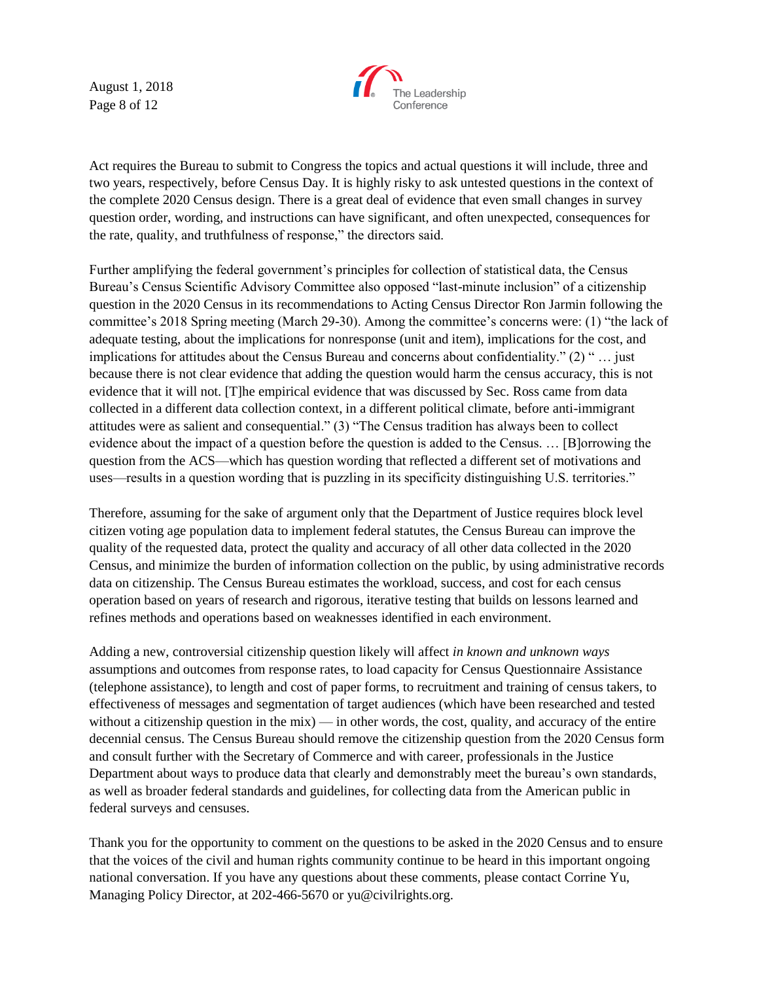August 1, 2018 Page 8 of 12



Act requires the Bureau to submit to Congress the topics and actual questions it will include, three and two years, respectively, before Census Day. It is highly risky to ask untested questions in the context of the complete 2020 Census design. There is a great deal of evidence that even small changes in survey question order, wording, and instructions can have significant, and often unexpected, consequences for the rate, quality, and truthfulness of response," the directors said.

Further amplifying the federal government's principles for collection of statistical data, the Census Bureau's Census Scientific Advisory Committee also opposed "last-minute inclusion" of a citizenship question in the 2020 Census in its recommendations to Acting Census Director Ron Jarmin following the committee's 2018 Spring meeting (March 29-30). Among the committee's concerns were: (1) "the lack of adequate testing, about the implications for nonresponse (unit and item), implications for the cost, and implications for attitudes about the Census Bureau and concerns about confidentiality." (2) " … just because there is not clear evidence that adding the question would harm the census accuracy, this is not evidence that it will not. [T]he empirical evidence that was discussed by Sec. Ross came from data collected in a different data collection context, in a different political climate, before anti-immigrant attitudes were as salient and consequential." (3) "The Census tradition has always been to collect evidence about the impact of a question before the question is added to the Census. … [B]orrowing the question from the ACS—which has question wording that reflected a different set of motivations and uses—results in a question wording that is puzzling in its specificity distinguishing U.S. territories."

Therefore, assuming for the sake of argument only that the Department of Justice requires block level citizen voting age population data to implement federal statutes, the Census Bureau can improve the quality of the requested data, protect the quality and accuracy of all other data collected in the 2020 Census, and minimize the burden of information collection on the public, by using administrative records data on citizenship. The Census Bureau estimates the workload, success, and cost for each census operation based on years of research and rigorous, iterative testing that builds on lessons learned and refines methods and operations based on weaknesses identified in each environment.

Adding a new, controversial citizenship question likely will affect *in known and unknown ways* assumptions and outcomes from response rates, to load capacity for Census Questionnaire Assistance (telephone assistance), to length and cost of paper forms, to recruitment and training of census takers, to effectiveness of messages and segmentation of target audiences (which have been researched and tested without a citizenship question in the mix) — in other words, the cost, quality, and accuracy of the entire decennial census. The Census Bureau should remove the citizenship question from the 2020 Census form and consult further with the Secretary of Commerce and with career, professionals in the Justice Department about ways to produce data that clearly and demonstrably meet the bureau's own standards, as well as broader federal standards and guidelines, for collecting data from the American public in federal surveys and censuses.

Thank you for the opportunity to comment on the questions to be asked in the 2020 Census and to ensure that the voices of the civil and human rights community continue to be heard in this important ongoing national conversation. If you have any questions about these comments, please contact Corrine Yu, Managing Policy Director, at 202-466-5670 or yu@civilrights.org.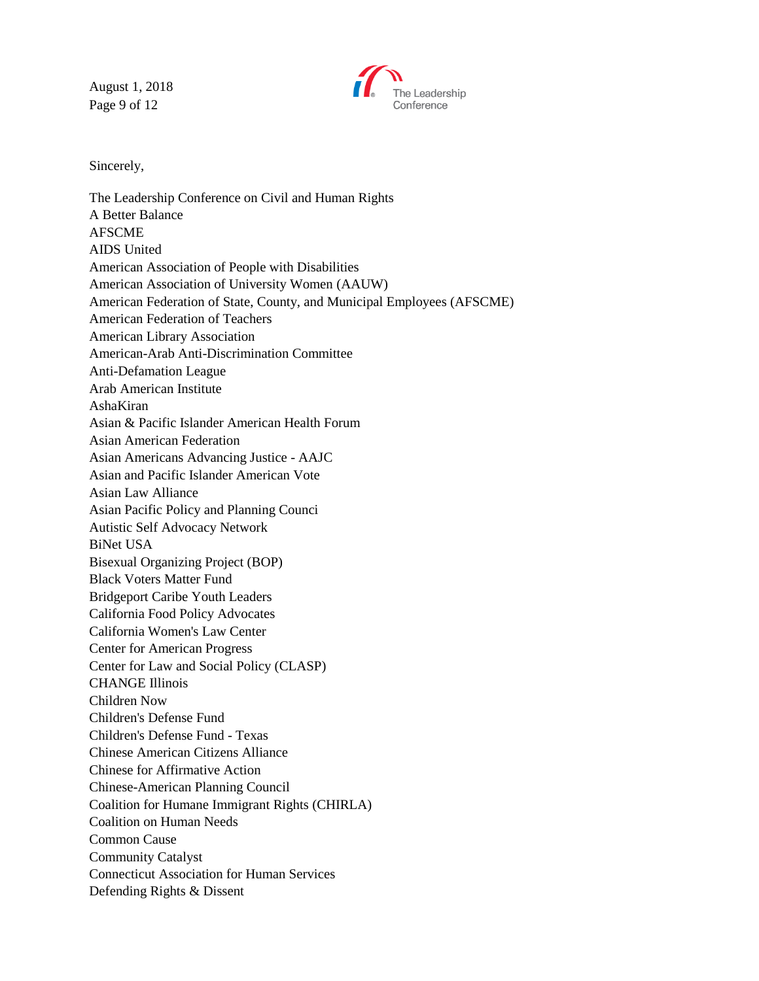August 1, 2018 Page 9 of 12



Sincerely,

The Leadership Conference on Civil and Human Rights A Better Balance AFSCME AIDS United American Association of People with Disabilities American Association of University Women (AAUW) American Federation of State, County, and Municipal Employees (AFSCME) American Federation of Teachers American Library Association American-Arab Anti-Discrimination Committee Anti-Defamation League Arab American Institute AshaKiran Asian & Pacific Islander American Health Forum Asian American Federation Asian Americans Advancing Justice - AAJC Asian and Pacific Islander American Vote Asian Law Alliance Asian Pacific Policy and Planning Counci Autistic Self Advocacy Network BiNet USA Bisexual Organizing Project (BOP) Black Voters Matter Fund Bridgeport Caribe Youth Leaders California Food Policy Advocates California Women's Law Center Center for American Progress Center for Law and Social Policy (CLASP) CHANGE Illinois Children Now Children's Defense Fund Children's Defense Fund - Texas Chinese American Citizens Alliance Chinese for Affirmative Action Chinese-American Planning Council Coalition for Humane Immigrant Rights (CHIRLA) Coalition on Human Needs Common Cause Community Catalyst Connecticut Association for Human Services Defending Rights & Dissent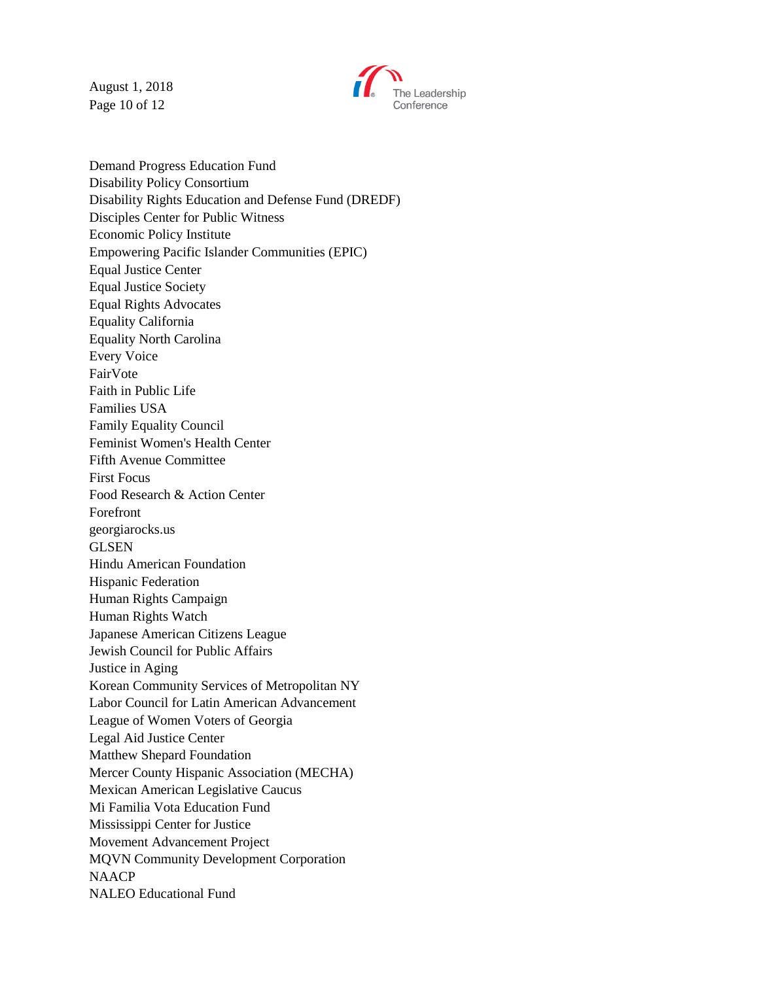August 1, 2018 Page 10 of 12



Demand Progress Education Fund Disability Policy Consortium Disability Rights Education and Defense Fund (DREDF) Disciples Center for Public Witness Economic Policy Institute Empowering Pacific Islander Communities (EPIC) Equal Justice Center Equal Justice Society Equal Rights Advocates Equality California Equality North Carolina Every Voice FairVote Faith in Public Life Families USA Family Equality Council Feminist Women's Health Center Fifth Avenue Committee First Focus Food Research & Action Center Forefront georgiarocks.us GLSEN Hindu American Foundation Hispanic Federation Human Rights Campaign Human Rights Watch Japanese American Citizens League Jewish Council for Public Affairs Justice in Aging Korean Community Services of Metropolitan NY Labor Council for Latin American Advancement League of Women Voters of Georgia Legal Aid Justice Center Matthew Shepard Foundation Mercer County Hispanic Association (MECHA) Mexican American Legislative Caucus Mi Familia Vota Education Fund Mississippi Center for Justice Movement Advancement Project MQVN Community Development Corporation NAACP NALEO Educational Fund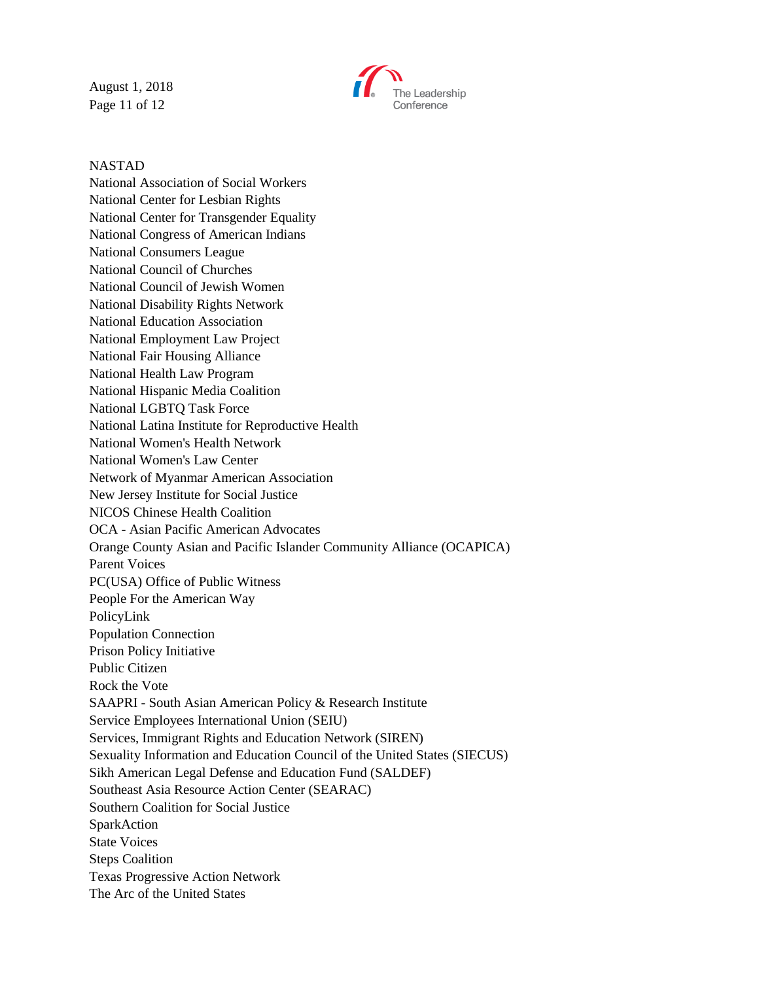August 1, 2018 Page 11 of 12



#### NASTAD

National Association of Social Workers National Center for Lesbian Rights National Center for Transgender Equality National Congress of American Indians National Consumers League National Council of Churches National Council of Jewish Women National Disability Rights Network National Education Association National Employment Law Project National Fair Housing Alliance National Health Law Program National Hispanic Media Coalition National LGBTQ Task Force National Latina Institute for Reproductive Health National Women's Health Network National Women's Law Center Network of Myanmar American Association New Jersey Institute for Social Justice NICOS Chinese Health Coalition OCA - Asian Pacific American Advocates Orange County Asian and Pacific Islander Community Alliance (OCAPICA) Parent Voices PC(USA) Office of Public Witness People For the American Way PolicyLink Population Connection Prison Policy Initiative Public Citizen Rock the Vote SAAPRI - South Asian American Policy & Research Institute Service Employees International Union (SEIU) Services, Immigrant Rights and Education Network (SIREN) Sexuality Information and Education Council of the United States (SIECUS) Sikh American Legal Defense and Education Fund (SALDEF) Southeast Asia Resource Action Center (SEARAC) Southern Coalition for Social Justice SparkAction State Voices Steps Coalition Texas Progressive Action Network The Arc of the United States